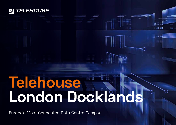

# **Telehouse London Docklands**

Europe's Most Connected Data Centre Campus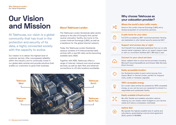# **Our Vision and Mission**

At Telehouse, our vision is a global community that has trust in the protection and security of its data, a highly connected society with the capacity to evolve.

Our mission is to deliver the highest level of customer service, offer unsurpassed reliability within the industry and to continually invest in our global data centres and provide solutions that enable our customers to grow their business.

#### **About Telehouse London**

The Telehouse London Docklands data centre campus is the site of Europe's first carrierneutral colocation facility, the home to the London Internet Exchange (LINX), as well as a backbone for the global internet network.

Today the Telehouse London Docklands campus consists of 4 interconnected data centres with a new 5th data centre becoming available early 2022.

Together with KDDI, Telehouse offers a range of internet, network and cloud access services, as well as dark fibre and ethernet connections to off-site locations worldwide.



#### **Why choose Telehouse as your colocation provider?**



#### **Where the world's data traffic meets**

Home to the London Internet Exchange (LINX) and a diverse ecosystem of connectivity partners.



 $(24/7)$ 

**C)** 

 $\Omega$ 

#### **A safe home for your data**

Full CCTV surveillance, 360° monitored perimeter fencing and dedicated on-site trained security personnel 24/7.

#### **Support and access day or night**

You'll benefit from dedicated assistance from our on-site remote hands' engineers. Call on our expert support desk or visit our convenient facilities 24/7, 365 days a year.

#### **Connect to your cloud services**

Direct, resilient links to cloud service providers including Microsoft Azure ExpressRoute and Amazon Web Services Direct Connect.

#### **Easily accessible location**

Our Docklands location is just a short journey from Canary Wharf or Central London, perfect for frequent visits, audits or hardware upgrades.

#### **100% renewable energy**

Our London data centres are powered by 100% renewable energy, so you can be sure your equipment is stored in a responsible and sustainable facility.

#### **Easily scalable infrastructure**

**К Л** び

(ပ)

We offer flexible and scalable colocation options, meaning you can closely match budgets to your service needs and reduce unnecessary overheads.

#### **Uptime SLA**

We operate the highest possible level of uptime and redundancy, guaranteeing a service level agreement (SLA) uptime of 99.999%.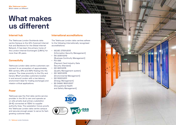### **What makes us different**

#### **Internet hub**

The Telehouse London Docklands data centre Campus is the UK's foremost Internet Hub and Backbone for the Global Internet Network. It has been the primary home of the London Internet Exchange's (LINX's) for more than 25 years.

#### **Connectivity**

Telehouse London data centre customers can connect to an ecosystem of approximately 800 carriers, ISPs and ASPs flowing into the campus. The close proximity to the City and Canary Wharf provides customers located in and around London with a low latency environment ideal for trading exchanges and mission-critical applications.

#### **Power**

Telehouse was the first data centre service provider in the UK to own and operate an on-site private dual primary substation (N+N) connected at 132kV to supplier authority lines. The substation future-proofs the Telehouse London data centre campus and secures enough power to serve its fastgrowing customer base.

#### **International accreditations**

The Telehouse London data centres adhere to the following internationally recognised accreditations:



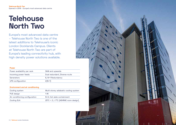### **Telehouse North Two**

Europe's most advanced data centre – Telehouse North Two is one of the latest additions to Telehouse's iconic London Docklands Campus. Clients at Telehouse North Two are part of Europe's leading connectivity hub, with high density power solutions available.

#### **Power**

| Power availability per rack | <b>3kW</b> and upwards        |
|-----------------------------|-------------------------------|
| Incoming power feeds        | Dual redundant, Diverse route |
| Generators                  | 8, N+1 Redundancy             |
| UPS configuration           | $2(N+1)$                      |

| Cooling system                 | Multi storey adiabatic cooling system |
|--------------------------------|---------------------------------------|
| PUE design                     | 1.16                                  |
| Air conditioning configuration | N+2, Hot aisle containment            |
| Cooling SLA                    | 25°C + 2 /-7°C (ASHRAE room design)   |

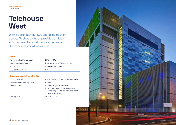### **Telehouse West**

With approximately 5,000m<sup>2</sup> of colocation space, Telehouse West provides an ideal environment for a primary as well as a disaster recovery/backup site.

#### **Power**

| Power availability per rack | 2kW to 4kW                    |
|-----------------------------|-------------------------------|
| Incoming power feeds        | Dual redundant, Diverse route |
| Generators                  | 8, N+1 Redundancy             |
| UPS configuration           | $2(N+1)$                      |

| Cooling system              | Chilled water system air conditioning                                                                                     |
|-----------------------------|---------------------------------------------------------------------------------------------------------------------------|
| Room air conditioning units | $N+25%$                                                                                                                   |
| Room design                 | • Hot aisle/cold aisle zone<br>• 900mm raised floor design with<br>airflow space to provide the most<br>efficient cooling |
| Cooling SLA                 | $25^{\circ}$ C + 2 /-7 $^{\circ}$ C                                                                                       |

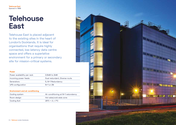### **Telehouse East**

Telehouse East is placed adjacent to the existing sites in the heart of London's Docklands. It is ideal for organisations that require highly connected, low-latency data centre space and offers a superlative environment for a primary or secondary site for mission-critical systems.

#### **Power**

| Power availability per rack | $0.5$ kW to $2$ kW            |
|-----------------------------|-------------------------------|
| Incoming power feeds        | Dual redundant, Diverse route |
| Generators                  | 5, N+1 Redundancy             |
| UPS configuration           | N+1 or 2N                     |

| Cooling system | Air conditioning at N+1 redundancy  |
|----------------|-------------------------------------|
| Room design    | Hot aisle/cold aisle zone           |
| Cooling SLA    | $25^{\circ}$ C + 2 /-7 $^{\circ}$ C |

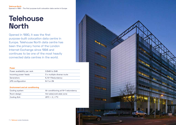# **Telehouse North**

Opened in 1990, it was the first purpose-built colocation data centre in Europe. Telehouse North data centre has been the primary home of the London Internet Exchange since 1994 and continues to be one of the most heavily connected data centres in the world.

#### **Power**

| Power availability per rack | 0.5kW to 2kW               |
|-----------------------------|----------------------------|
| Incoming power feeds        | 3 x multiple diverse route |
| Generators                  | 6, N+1 Redundancy          |
| UPS configuration           | N+1 or 2N                  |

| Cooling system | Air conditioning at N+1 redundancy  |
|----------------|-------------------------------------|
| Room design    | Hot aisle/cold aisle zone           |
| Cooling SLA    | $25^{\circ}$ C + 2 /-7 $^{\circ}$ C |

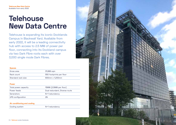### **Telehouse New Data Centre**

Telehouse is expanding its iconic Docklands Campus in Blackwall Yard. Available from early 2022, it will be a leading connectivity hub with access to 2.5 MW of power per floor, connecting into its Dockland campus via two Dark Fibre roots each with over 3,000 single mode Dark Fibres.

#### **Spaces**

| Gross area         | 31,999 sqm               |
|--------------------|--------------------------|
| Rack count         | 550 footprints per floor |
| Standard rack size | 600mm x 1.200mm          |

#### **Power**

| Total power capacity | 15MW (2.5MW per floor)        |
|----------------------|-------------------------------|
| Power feeds          | Dual redundant, Diverse route |
| Generators           | N+1 redundancy                |
| UPS configuration    | 2N                            |

#### **Air conditioning and cooling**

Cooling system N+1 redundancy

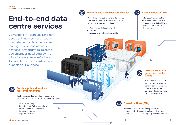### **End-to-end data centre services**

Connecting in Telehouse isn't just about putting a server or cable in a data centre. Whether you're looking to purchase network services, infrastructure, relocate equipment, or need data centre migration services – we're here to provide you with solutions and support your business.

#### **Domestic and global network services**

TAs well as connectivity within Telehouse London Docklands site, we offer a range of internet and network services.

- Domestic and global networks
- Internet
- Access to cloud service providers

![](_page_8_Picture_8.jpeg)

#### **Cross connect service**

Telehouse's onsite cabling engineers install a variety of Copper and Optical Fibre types for our clients to choose from.

#### **Colocation services Dedicated facilities (DFM)**

If you require increased security and high-power density services, we can provide a dedicated, partitioned suite or cage for your equipment.

#### **Shared facilities (SFM)**

谷

This cost-efficient option is perfect for companies that need a small amount of rack space and have less stringent privacy concerns.

#### **Goods supply and services for IT infrastructures**

Telehouse provides varieties of goods and services for your infrastructure and setup needs.

- Cabinet and cage
- Security CCTV, biometric keys
- Patch panels, cable baskets
- Hardware supplies
- Migration services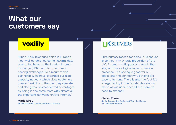### **What our customers say**

### voxility

"Since 2014, Telehouse North is Europe's most well established carrier-neutral data centre, the home to the London Internet Exchange (LINX), and to other major peering exchanges. As a result of this partnership, we have extended our highcapacity network which gives customers greater flexibility in the way they operate and also gives unprecedented advantages by being in the same room with almost all the important networks on the internet."

#### **Maria Sirbu**

**VP of Corporate Communications at Voxility**

### **IKSERVERS**

"The primary reason for being in Telehouse is connectivity. A large proportion of the UK's internet traffic passes through that site, so it was a logical move to have a presence. The pricing is good for our space and the connectivity options are second to none. There is also the fact it's a large facility in the Docklands campus, which allows us to have all the room we need to expand."

#### **Ciaran Power**

**Senior Datacentre Engineer & Technical Sales, UK Dedicated Servers**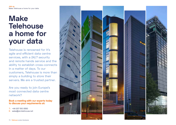### **Make Telehouse a home for your data**

Telehouse is renowned for it's agile and efficient data centre services, with a 24/7 security and remote hands service and the ability to establish cross-connects in a matter of days. To our customers, Telehouse is more than simply a building to store their servers. We are a trusted partner.

Are you ready to join Europe's most connected data centre network?

**Book a meeting with our experts today to discuss your requirements at:**

T: +44 207 512 0550

E: sales@uk.telehouse.net

![](_page_10_Picture_7.jpeg)